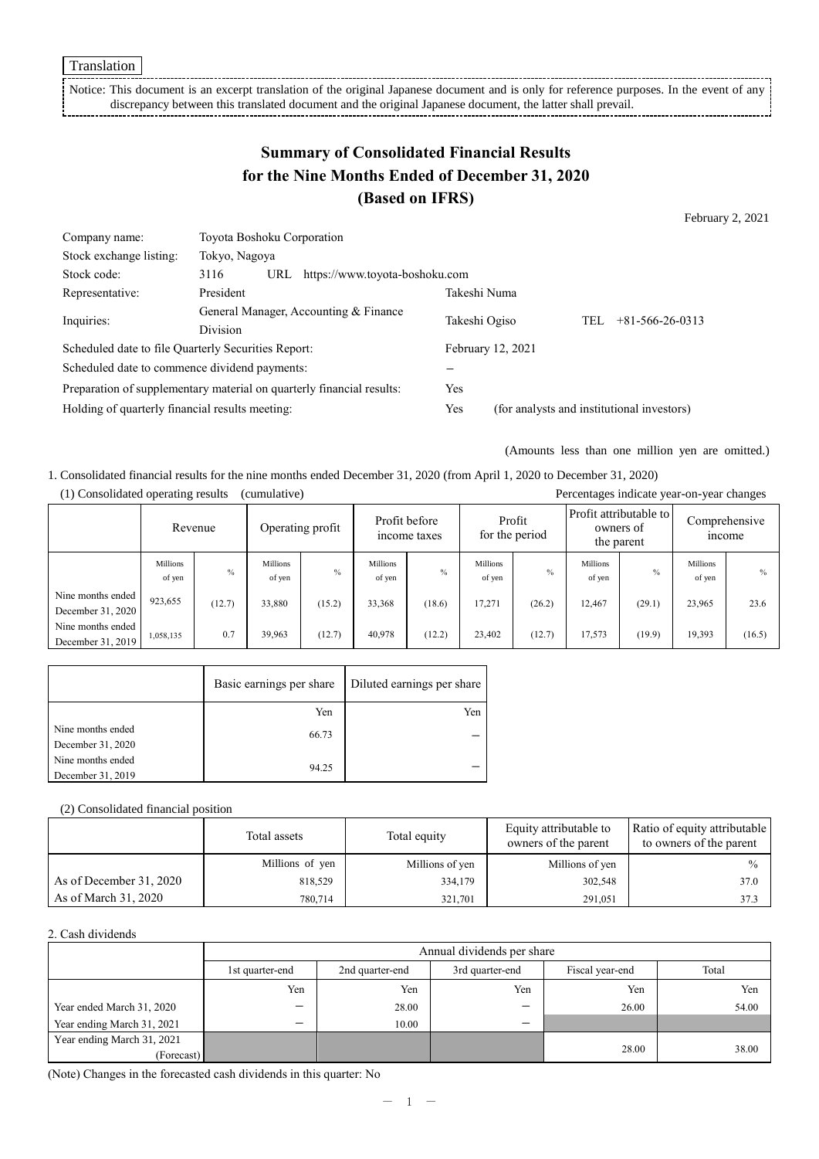Notice: This document is an excerpt translation of the original Japanese document and is only for reference purposes. In the event of any discrepancy between this translated document and the original Japanese document, the latter shall prevail.

# **Summary of Consolidated Financial Results for the Nine Months Ended of December 31, 2020 (Based on IFRS)**

February 2, 2021

| 3116                                                     | URL |               |                                                                                                                                                                                                             |                                |                                   |                                                   |
|----------------------------------------------------------|-----|---------------|-------------------------------------------------------------------------------------------------------------------------------------------------------------------------------------------------------------|--------------------------------|-----------------------------------|---------------------------------------------------|
| President                                                |     |               |                                                                                                                                                                                                             |                                |                                   |                                                   |
| General Manager, Accounting & Finance<br><b>Division</b> |     | Takeshi Ogiso |                                                                                                                                                                                                             |                                | $+81 - 566 - 26 - 0313$           |                                                   |
|                                                          |     |               |                                                                                                                                                                                                             |                                |                                   |                                                   |
|                                                          |     |               |                                                                                                                                                                                                             |                                |                                   |                                                   |
|                                                          |     |               |                                                                                                                                                                                                             |                                |                                   |                                                   |
|                                                          |     |               | Yes                                                                                                                                                                                                         |                                |                                   |                                                   |
| Holding of quarterly financial results meeting:          |     |               | Yes                                                                                                                                                                                                         |                                |                                   |                                                   |
|                                                          |     | Tokyo, Nagoya | Toyota Boshoku Corporation<br>Scheduled date to file Quarterly Securities Report:<br>Scheduled date to commence dividend payments:<br>Preparation of supplementary material on quarterly financial results: | https://www.toyota-boshoku.com | Takeshi Numa<br>February 12, 2021 | TEL<br>(for analysts and institutional investors) |

(Amounts less than one million yen are omitted.)

1. Consolidated financial results for the nine months ended December 31, 2020 (from April 1, 2020 to December 31, 2020) (1) Consolidated operating results (cumulative) Percentages indicate year-on-year changes

|                                        |                           | Revenue |                    | Operating profit | Profit before<br>Profit<br>for the period<br>income taxes |        | Profit attributable to<br>owners of<br>the parent |        |                           | Comprehensive<br><i>n</i> come |                    |               |
|----------------------------------------|---------------------------|---------|--------------------|------------------|-----------------------------------------------------------|--------|---------------------------------------------------|--------|---------------------------|--------------------------------|--------------------|---------------|
|                                        | <b>Millions</b><br>of yen | $\%$    | Millions<br>of yen | $\%$             | <b>Millions</b><br>of yen                                 | $\%$   | <b>Millions</b><br>of yen                         | $\%$   | <b>Millions</b><br>of yen | $\frac{0}{0}$                  | Millions<br>of yen | $\frac{0}{0}$ |
| Nine months ended<br>December 31, 2020 | 923,655                   | (12.7)  | 33,880             | (15.2)           | 33,368                                                    | (18.6) | 17,271                                            | (26.2) | 12,467                    | (29.1)                         | 23,965             | 23.6          |
| Nine months ended<br>December 31, 2019 | 1,058,135                 | 0.7     | 39,963             | (12.7)           | 40.978                                                    | (12.2) | 23,402                                            | (12.7) | 17,573                    | (19.9)                         | 19,393             | (16.5)        |

|                   | Basic earnings per share | Diluted earnings per share |
|-------------------|--------------------------|----------------------------|
|                   | Yen                      | Yen                        |
| Nine months ended | 66.73                    |                            |
| December 31, 2020 |                          |                            |
| Nine months ended | 94.25                    |                            |
| December 31, 2019 |                          |                            |

#### (2) Consolidated financial position

|                         | Total assets    | Total equity    | Equity attributable to<br>owners of the parent | Ratio of equity attributable<br>to owners of the parent |
|-------------------------|-----------------|-----------------|------------------------------------------------|---------------------------------------------------------|
|                         | Millions of yen | Millions of yen | Millions of yen                                | $\frac{0}{0}$                                           |
| As of December 31, 2020 | 818,529         | 334,179         | 302,548                                        | 37.0                                                    |
| As of March 31, 2020    | 780,714         | 321,701         | 291,051                                        | 37.3                                                    |

#### 2. Cash dividends

|                            |                                                                          | Annual dividends per share |     |       |       |  |  |  |
|----------------------------|--------------------------------------------------------------------------|----------------------------|-----|-------|-------|--|--|--|
|                            | Fiscal year-end<br>3rd quarter-end<br>2nd quarter-end<br>1st quarter-end |                            |     |       |       |  |  |  |
|                            | Yen                                                                      | Yen                        | Yen | Yen   | Yen   |  |  |  |
| Year ended March 31, 2020  | —                                                                        | 28.00                      | –   | 26.00 | 54.00 |  |  |  |
| Year ending March 31, 2021 | —                                                                        | 10.00                      | –   |       |       |  |  |  |
| Year ending March 31, 2021 |                                                                          |                            |     | 28.00 | 38.00 |  |  |  |
| (Forecast)                 |                                                                          |                            |     |       |       |  |  |  |

(Note) Changes in the forecasted cash dividends in this quarter: No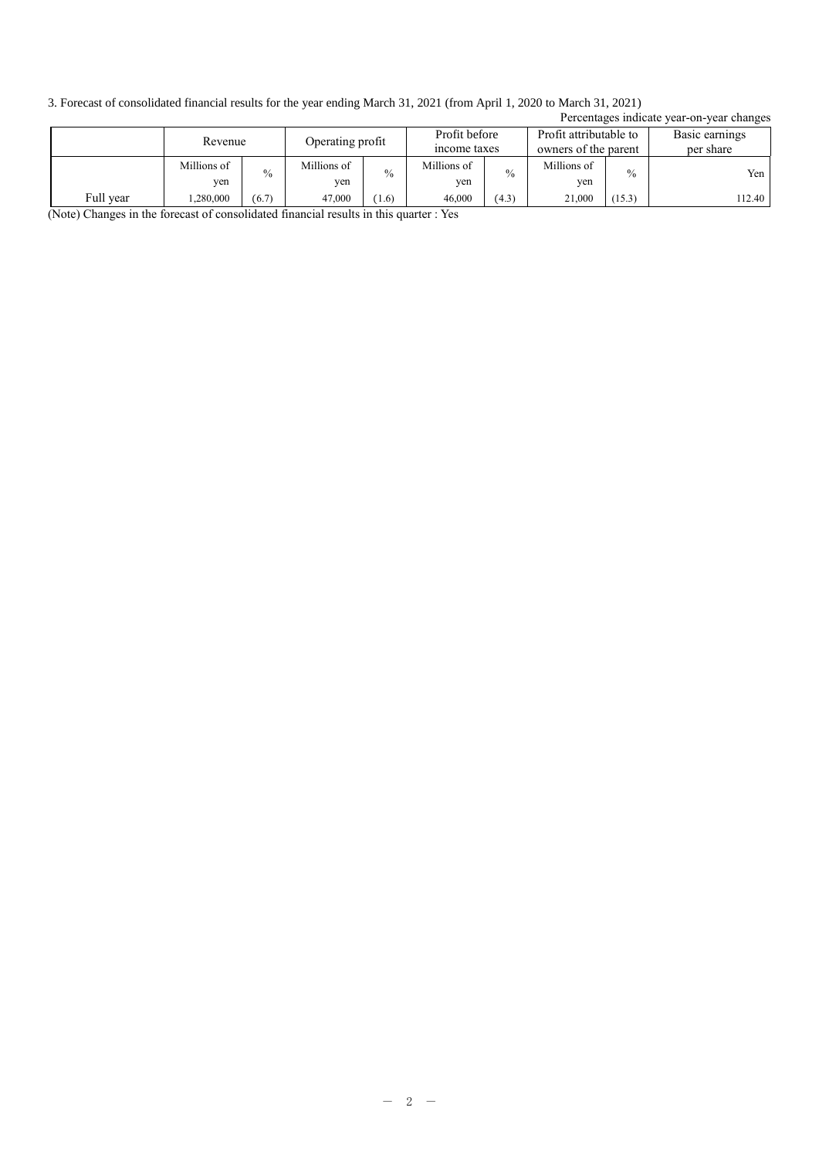3. Forecast of consolidated financial results for the year ending March 31, 2021 (from April 1, 2020 to March 31, 2021)

|           | Percentages indicate year-on-year changes |                  |               |                               |               |                                                |               |                             |        |
|-----------|-------------------------------------------|------------------|---------------|-------------------------------|---------------|------------------------------------------------|---------------|-----------------------------|--------|
|           | Revenue                                   | Operating profit |               | Profit before<br>income taxes |               | Profit attributable to<br>owners of the parent |               | Basic earnings<br>per share |        |
|           | Millions of                               | $\frac{0}{0}$    | Millions of   | $\frac{0}{0}$                 | Millions of   | $\frac{0}{0}$                                  | Millions of   | $\frac{0}{0}$               | Yen    |
| Full year | yen<br>.280,000                           | (6.7)            | yen<br>47,000 | (1.6)                         | yen<br>46,000 | (4.3)                                          | yen<br>21.000 | (15.3)                      | 112.40 |

(Note) Changes in the forecast of consolidated financial results in this quarter : Yes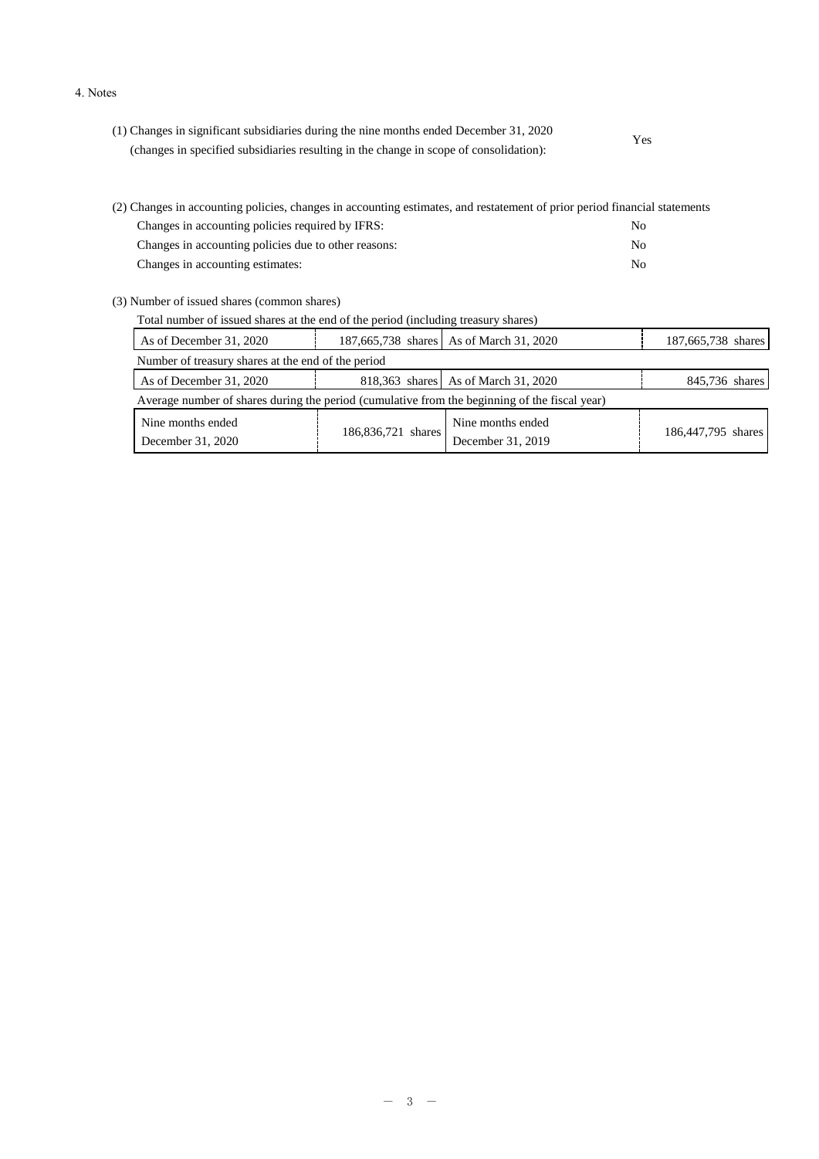#### 4. Notes

| (1) Changes in significant subsidiaries during the nine months ended December 31, 2020 | Yes |
|----------------------------------------------------------------------------------------|-----|
| (changes in specified subsidiaries resulting in the change in scope of consolidation): |     |

| (2) Changes in accounting policies, changes in accounting estimates, and restatement of prior period financial statements |     |
|---------------------------------------------------------------------------------------------------------------------------|-----|
| Changes in accounting policies required by IFRS:                                                                          | No. |
| Changes in accounting policies due to other reasons:                                                                      | No. |
| Changes in accounting estimates:                                                                                          | No. |

(3) Number of issued shares (common shares)

| Total number of issued shares at the end of the period (including treasury shares) |                                                                                               |  |                                         |                    |  |
|------------------------------------------------------------------------------------|-----------------------------------------------------------------------------------------------|--|-----------------------------------------|--------------------|--|
|                                                                                    | As of December 31, 2020                                                                       |  | 187,665,738 shares As of March 31, 2020 | 187,665,738 shares |  |
|                                                                                    | Number of treasury shares at the end of the period                                            |  |                                         |                    |  |
|                                                                                    | As of December 31, 2020                                                                       |  | 818,363 shares As of March 31, 2020     | 845,736 shares     |  |
|                                                                                    | Average number of shares during the period (cumulative from the beginning of the fiscal year) |  |                                         |                    |  |

| Nine months ended | 186,836,721 shares | Nine months ended | 186,447,795 shares |
|-------------------|--------------------|-------------------|--------------------|
| December 31, 2020 |                    | December 31, 2019 |                    |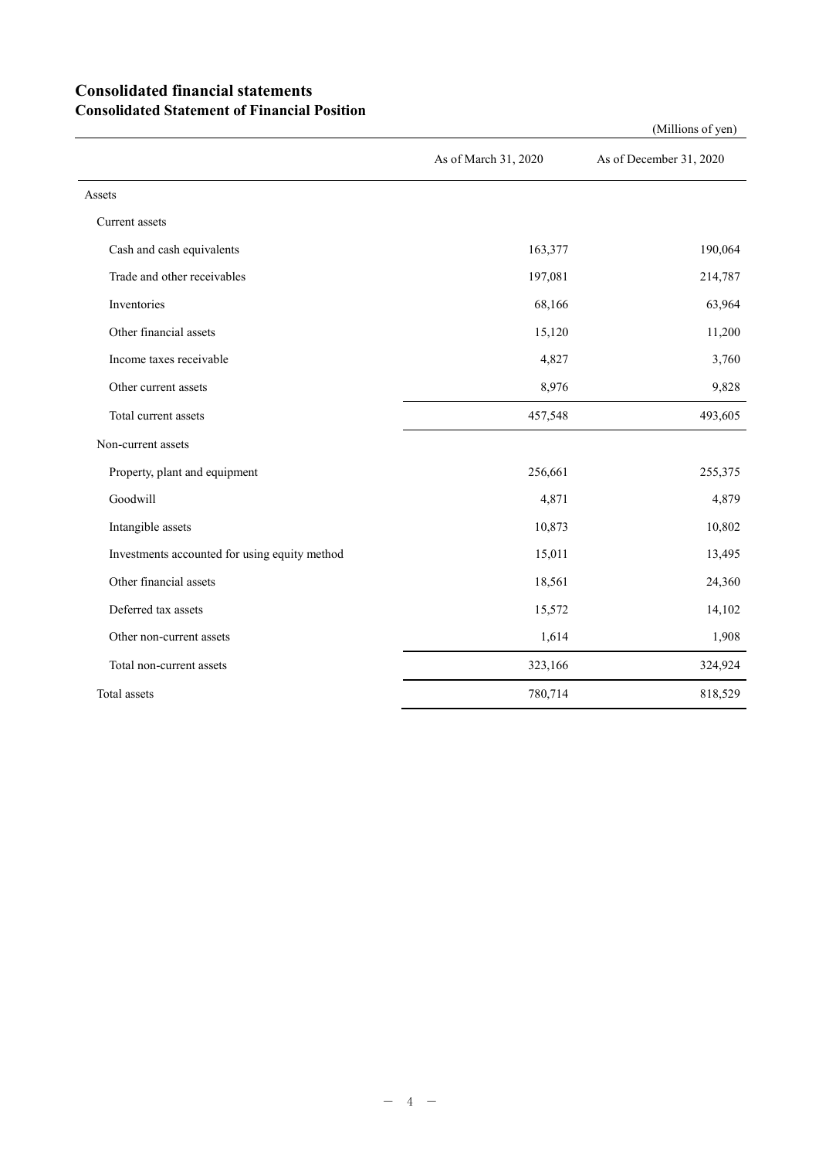### **Consolidated financial statements Consolidated Statement of Financial Position**

As of March 31, 2020 As of December 31, 2020 Assets Current assets Cash and cash equivalents 163,377 190,064 Trade and other receivables 197,081 214,787 Inventories  $68,166$  63,964 Other financial assets 15,120 11,200 Income taxes receivable  $4,827$   $3,760$ Other current assets 8,976 8,976 9,828 Total current assets 457,548 493,605 Non-current assets Property, plant and equipment 256,661 255,375 Goodwill 4,879 and 4,879 and 4,879 and 4,879 and 4,879 and 4,879 and 4,879 and 4,879 and 4,879 and 4,879 and 4, Intangible assets 10,802 Investments accounted for using equity method 15,011 13,495 Other financial assets 24,360 Deferred tax assets 15,572 14,102 Other non-current assets 1,614 1,908 Total non-current assets 323,166 324,924 Total assets 818,529 and 818,529 and 818,529 and 818,529 and 818,529 and 818,529 and 818,529 and 818,529 and 81

(Millions of yen)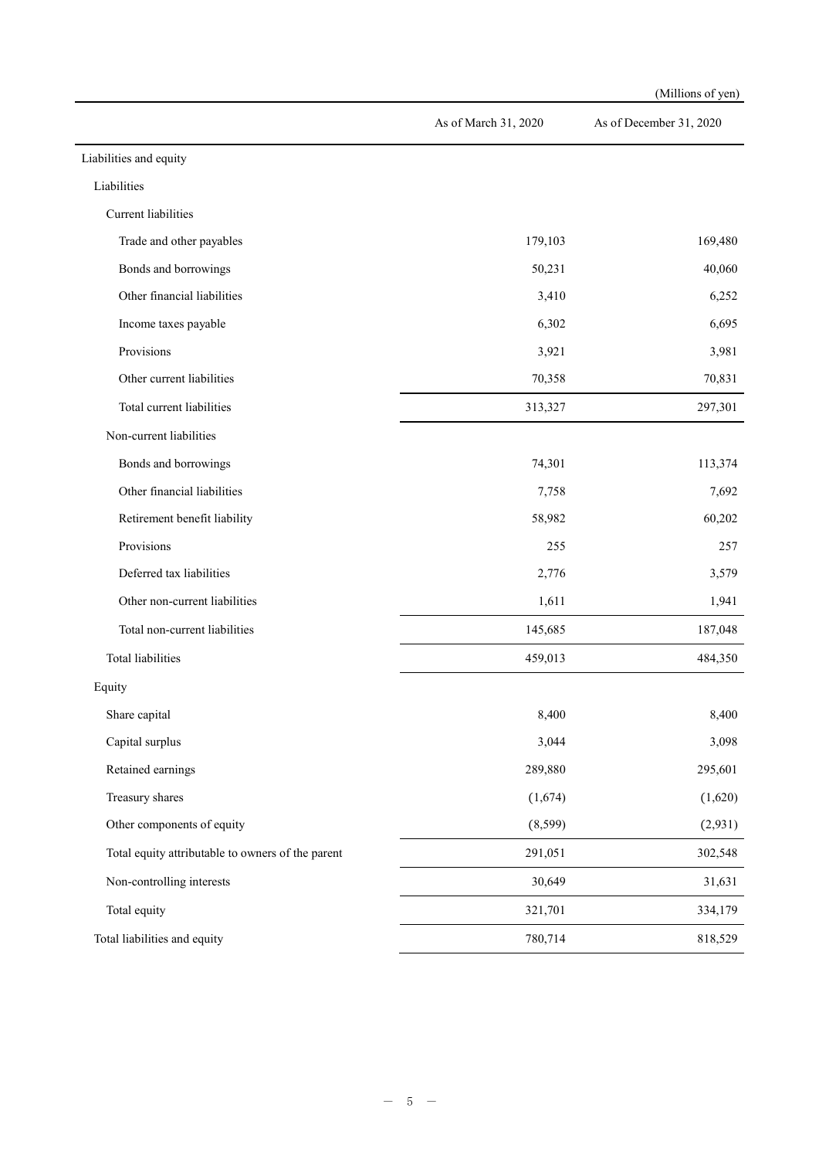|                                                   |                      | (Millions of yen)       |
|---------------------------------------------------|----------------------|-------------------------|
|                                                   | As of March 31, 2020 | As of December 31, 2020 |
| Liabilities and equity                            |                      |                         |
| Liabilities                                       |                      |                         |
| Current liabilities                               |                      |                         |
| Trade and other payables                          | 179,103              | 169,480                 |
| Bonds and borrowings                              | 50,231               | 40,060                  |
| Other financial liabilities                       | 3,410                | 6,252                   |
| Income taxes payable                              | 6,302                | 6,695                   |
| Provisions                                        | 3,921                | 3,981                   |
| Other current liabilities                         | 70,358               | 70,831                  |
| Total current liabilities                         | 313,327              | 297,301                 |
| Non-current liabilities                           |                      |                         |
| Bonds and borrowings                              | 74,301               | 113,374                 |
| Other financial liabilities                       | 7,758                | 7,692                   |
| Retirement benefit liability                      | 58,982               | 60,202                  |
| Provisions                                        | 255                  | 257                     |
| Deferred tax liabilities                          | 2,776                | 3,579                   |
| Other non-current liabilities                     | 1,611                | 1,941                   |
| Total non-current liabilities                     | 145,685              | 187,048                 |
| Total liabilities                                 | 459,013              | 484,350                 |
| Equity                                            |                      |                         |
| Share capital                                     | 8,400                | 8,400                   |
| Capital surplus                                   | 3,044                | 3,098                   |
| Retained earnings                                 | 289,880              | 295,601                 |
| Treasury shares                                   | (1,674)              | (1,620)                 |
| Other components of equity                        | (8, 599)             | (2,931)                 |
| Total equity attributable to owners of the parent | 291,051              | 302,548                 |
| Non-controlling interests                         | 30,649               | 31,631                  |
| Total equity                                      | 321,701              | 334,179                 |
| Total liabilities and equity                      | 780,714              | 818,529                 |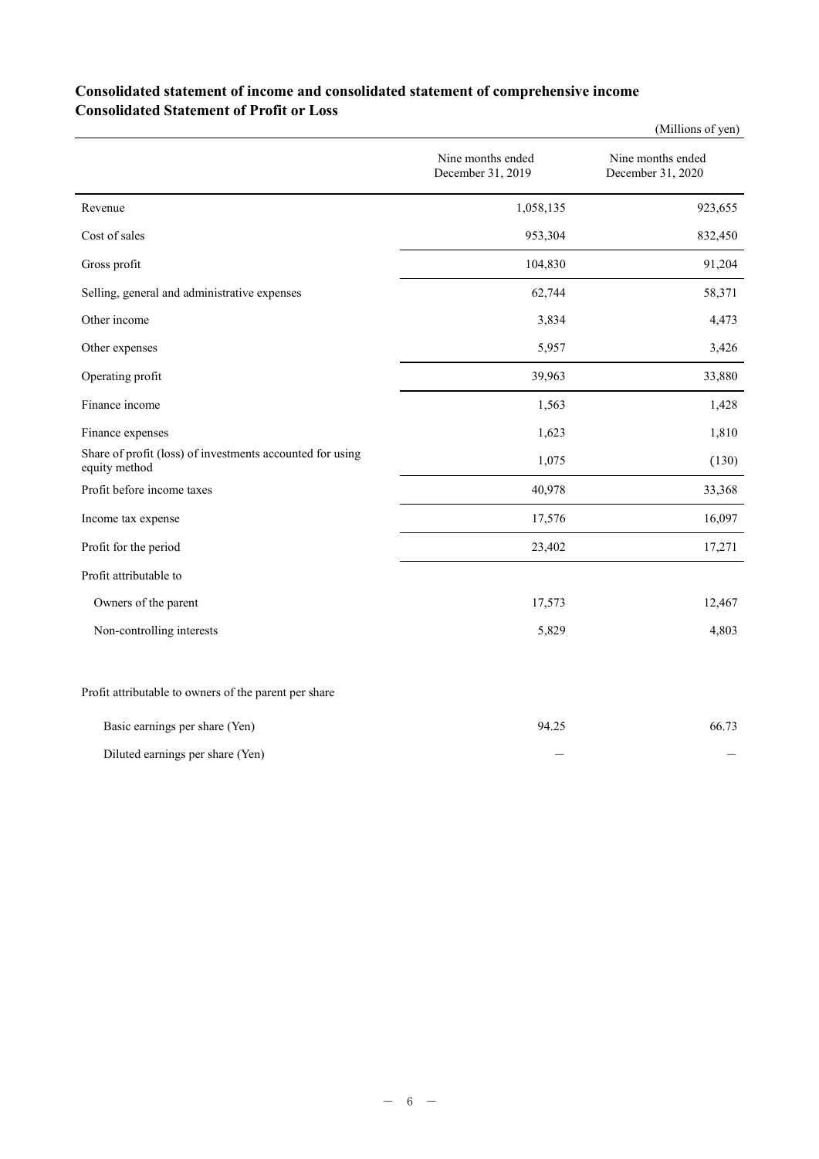### **Consolidated statement of income and consolidated statement of comprehensive income Consolidated Statement of Profit or Loss**

|                                                                            |                                        | (Millions of yen)                      |
|----------------------------------------------------------------------------|----------------------------------------|----------------------------------------|
|                                                                            | Nine months ended<br>December 31, 2019 | Nine months ended<br>December 31, 2020 |
| Revenue                                                                    | 1,058,135                              | 923,655                                |
| Cost of sales                                                              | 953,304                                | 832,450                                |
| Gross profit                                                               | 104,830                                | 91,204                                 |
| Selling, general and administrative expenses                               | 62,744                                 | 58,371                                 |
| Other income                                                               | 3,834                                  | 4,473                                  |
| Other expenses                                                             | 5,957                                  | 3,426                                  |
| Operating profit                                                           | 39,963                                 | 33,880                                 |
| Finance income                                                             | 1,563                                  | 1,428                                  |
| Finance expenses                                                           | 1,623                                  | 1,810                                  |
| Share of profit (loss) of investments accounted for using<br>equity method | 1,075                                  | (130)                                  |
| Profit before income taxes                                                 | 40,978                                 | 33,368                                 |
| Income tax expense                                                         | 17,576                                 | 16,097                                 |
| Profit for the period                                                      | 23,402                                 | 17,271                                 |
| Profit attributable to                                                     |                                        |                                        |
| Owners of the parent                                                       | 17,573                                 | 12,467                                 |
| Non-controlling interests                                                  | 5,829                                  | 4,803                                  |
| Profit attributable to owners of the parent per share                      |                                        |                                        |

| Basic earnings per share (Yen)   | 94.25 | 66.73 |
|----------------------------------|-------|-------|
| Diluted earnings per share (Yen) |       |       |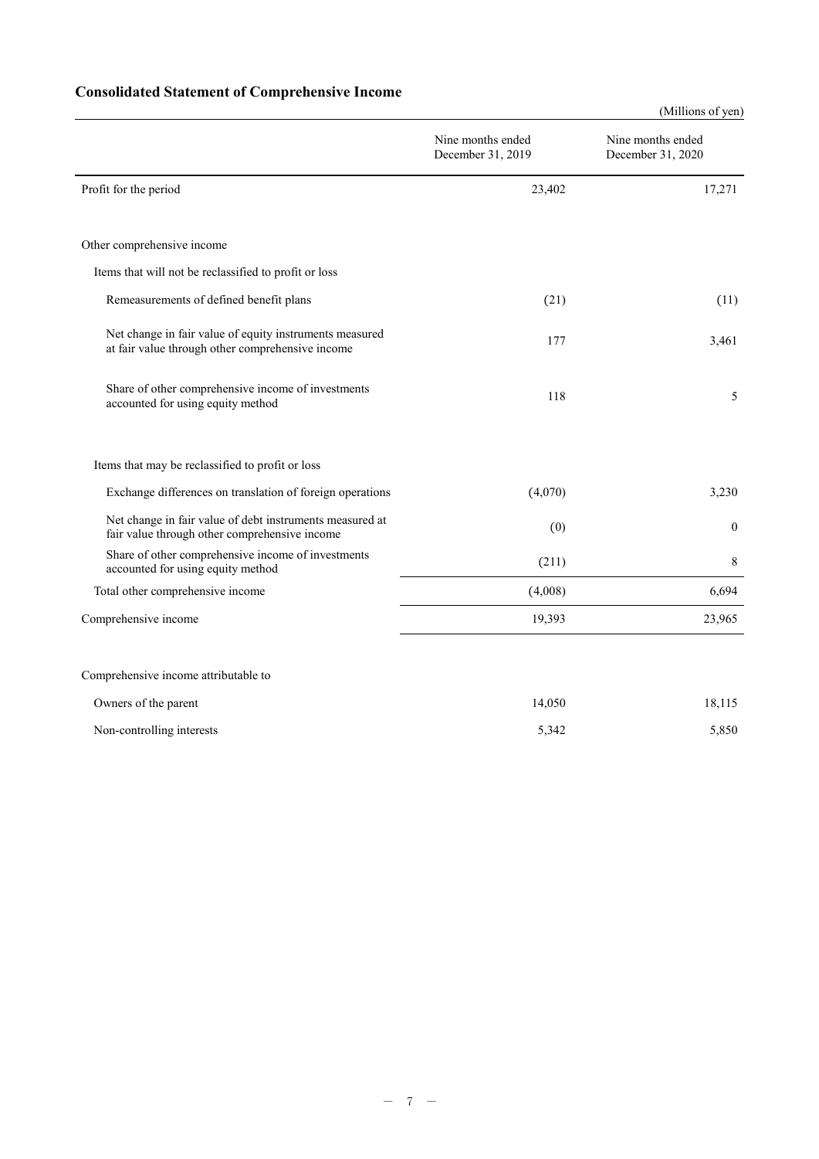## **Consolidated Statement of Comprehensive Income**

|                                                                                                             |                                        | (Millions of yen)                      |
|-------------------------------------------------------------------------------------------------------------|----------------------------------------|----------------------------------------|
|                                                                                                             | Nine months ended<br>December 31, 2019 | Nine months ended<br>December 31, 2020 |
| Profit for the period                                                                                       | 23,402                                 | 17,271                                 |
| Other comprehensive income                                                                                  |                                        |                                        |
| Items that will not be reclassified to profit or loss                                                       |                                        |                                        |
| Remeasurements of defined benefit plans                                                                     | (21)                                   | (11)                                   |
| Net change in fair value of equity instruments measured<br>at fair value through other comprehensive income | 177                                    | 3,461                                  |
| Share of other comprehensive income of investments<br>accounted for using equity method                     | 118                                    | 5                                      |
| Items that may be reclassified to profit or loss                                                            |                                        |                                        |
| Exchange differences on translation of foreign operations                                                   | (4,070)                                | 3,230                                  |
| Net change in fair value of debt instruments measured at<br>fair value through other comprehensive income   | (0)                                    | $\mathbf{0}$                           |
| Share of other comprehensive income of investments<br>accounted for using equity method                     | (211)                                  | 8                                      |
| Total other comprehensive income                                                                            | (4,008)                                | 6,694                                  |
| Comprehensive income                                                                                        | 19,393                                 | 23,965                                 |
| Comprehensive income attributable to                                                                        |                                        |                                        |
| Owners of the parent                                                                                        | 14,050                                 | 18,115                                 |
| Non-controlling interests                                                                                   | 5,342                                  | 5,850                                  |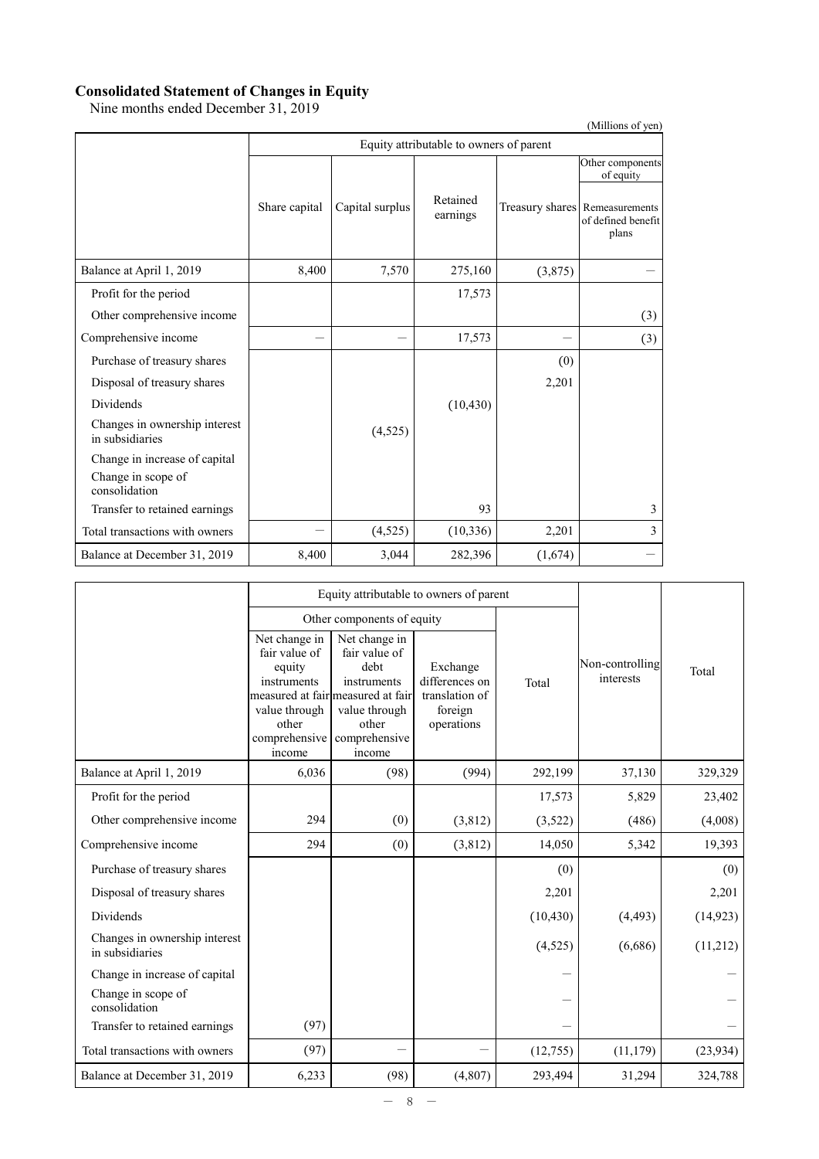#### **Consolidated Statement of Changes in Equity**

Nine months ended December 31, 2019

|                                                  |               |                                         |                      |         | (Millions of yen)                                                                              |  |  |  |  |  |
|--------------------------------------------------|---------------|-----------------------------------------|----------------------|---------|------------------------------------------------------------------------------------------------|--|--|--|--|--|
|                                                  |               | Equity attributable to owners of parent |                      |         |                                                                                                |  |  |  |  |  |
|                                                  | Share capital | Capital surplus                         | Retained<br>earnings |         | Other components<br>of equity<br>Treasury shares Remeasurements<br>of defined benefit<br>plans |  |  |  |  |  |
| Balance at April 1, 2019                         | 8,400         | 7,570                                   | 275,160              | (3,875) |                                                                                                |  |  |  |  |  |
| Profit for the period                            |               |                                         | 17,573               |         |                                                                                                |  |  |  |  |  |
| Other comprehensive income                       |               |                                         |                      |         | (3)                                                                                            |  |  |  |  |  |
| Comprehensive income                             |               |                                         | 17,573               |         | (3)                                                                                            |  |  |  |  |  |
| Purchase of treasury shares                      |               |                                         |                      | (0)     |                                                                                                |  |  |  |  |  |
| Disposal of treasury shares                      |               |                                         |                      | 2,201   |                                                                                                |  |  |  |  |  |
| <b>Dividends</b>                                 |               |                                         | (10, 430)            |         |                                                                                                |  |  |  |  |  |
| Changes in ownership interest<br>in subsidiaries |               | (4,525)                                 |                      |         |                                                                                                |  |  |  |  |  |
| Change in increase of capital                    |               |                                         |                      |         |                                                                                                |  |  |  |  |  |
| Change in scope of<br>consolidation              |               |                                         |                      |         |                                                                                                |  |  |  |  |  |
| Transfer to retained earnings                    |               |                                         | 93                   |         | 3                                                                                              |  |  |  |  |  |
| Total transactions with owners                   |               | (4,525)                                 | (10, 336)            | 2,201   | 3                                                                                              |  |  |  |  |  |
| Balance at December 31, 2019                     | 8,400         | 3,044                                   | 282,396              | (1,674) |                                                                                                |  |  |  |  |  |

|                                                  |                                                                                                              | Equity attributable to owners of parent                                                                                                         |                                                                       |           |                              |           |
|--------------------------------------------------|--------------------------------------------------------------------------------------------------------------|-------------------------------------------------------------------------------------------------------------------------------------------------|-----------------------------------------------------------------------|-----------|------------------------------|-----------|
|                                                  |                                                                                                              | Other components of equity                                                                                                                      |                                                                       |           |                              |           |
|                                                  | Net change in<br>fair value of<br>equity<br>instruments<br>value through<br>other<br>comprehensive<br>income | Net change in<br>fair value of<br>debt<br>instruments<br>measured at fair measured at fair<br>value through<br>other<br>comprehensive<br>income | Exchange<br>differences on<br>translation of<br>foreign<br>operations | Total     | Non-controlling<br>interests | Total     |
| Balance at April 1, 2019                         | 6,036                                                                                                        | (98)                                                                                                                                            | (994)                                                                 | 292,199   | 37,130                       | 329,329   |
| Profit for the period                            |                                                                                                              |                                                                                                                                                 |                                                                       | 17,573    | 5,829                        | 23,402    |
| Other comprehensive income                       | 294                                                                                                          | (0)                                                                                                                                             | (3,812)                                                               | (3,522)   | (486)                        | (4,008)   |
| Comprehensive income                             | 294                                                                                                          | (0)                                                                                                                                             | (3,812)                                                               | 14,050    | 5,342                        | 19,393    |
| Purchase of treasury shares                      |                                                                                                              |                                                                                                                                                 |                                                                       | (0)       |                              | (0)       |
| Disposal of treasury shares                      |                                                                                                              |                                                                                                                                                 |                                                                       | 2,201     |                              | 2,201     |
| <b>Dividends</b>                                 |                                                                                                              |                                                                                                                                                 |                                                                       | (10, 430) | (4, 493)                     | (14, 923) |
| Changes in ownership interest<br>in subsidiaries |                                                                                                              |                                                                                                                                                 |                                                                       | (4, 525)  | (6,686)                      | (11,212)  |
| Change in increase of capital                    |                                                                                                              |                                                                                                                                                 |                                                                       |           |                              |           |
| Change in scope of<br>consolidation              |                                                                                                              |                                                                                                                                                 |                                                                       |           |                              |           |
| Transfer to retained earnings                    | (97)                                                                                                         |                                                                                                                                                 |                                                                       |           |                              |           |
| Total transactions with owners                   | (97)                                                                                                         |                                                                                                                                                 |                                                                       | (12,755)  | (11, 179)                    | (23, 934) |
| Balance at December 31, 2019                     | 6,233                                                                                                        | (98)                                                                                                                                            | (4,807)                                                               | 293,494   | 31,294                       | 324,788   |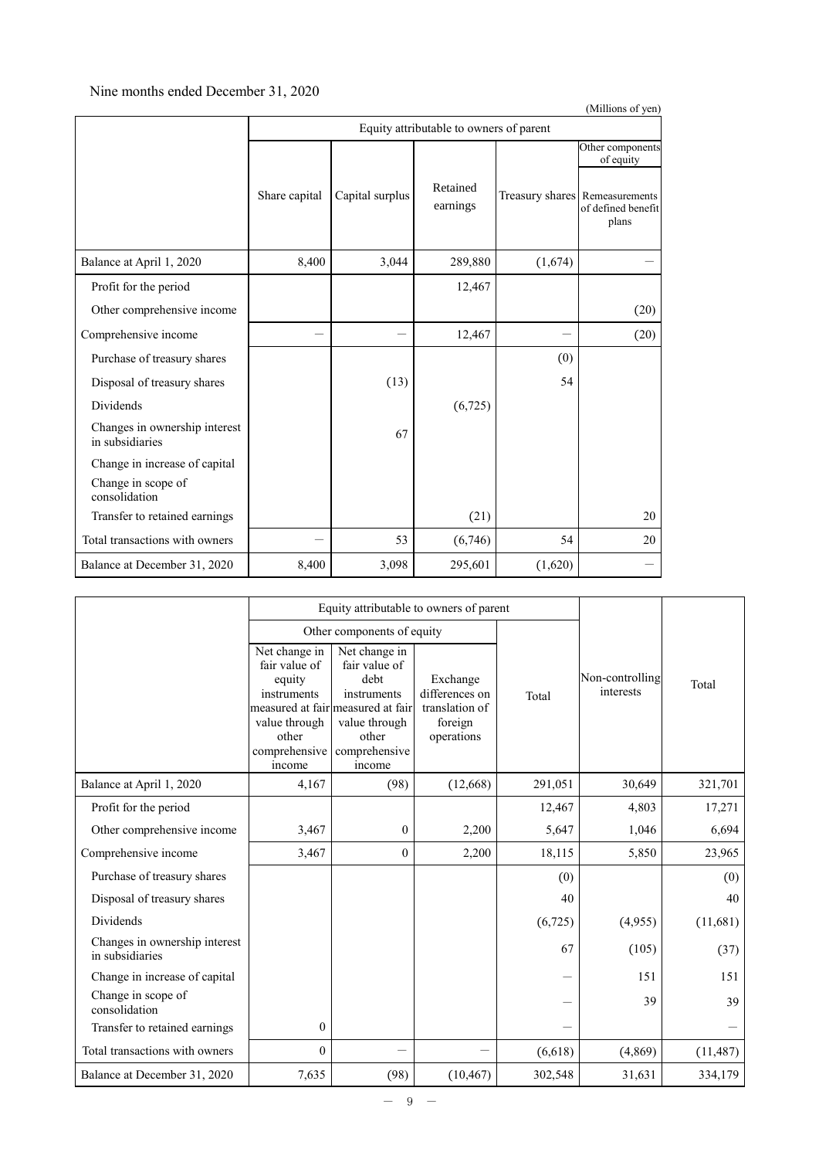#### Nine months ended December 31, 2020

|                                                  |                                         |                 |                      |         | (Millions of yen)                                             |  |  |  |
|--------------------------------------------------|-----------------------------------------|-----------------|----------------------|---------|---------------------------------------------------------------|--|--|--|
|                                                  | Equity attributable to owners of parent |                 |                      |         |                                                               |  |  |  |
|                                                  |                                         |                 |                      |         | Other components<br>of equity                                 |  |  |  |
|                                                  | Share capital                           | Capital surplus | Retained<br>earnings |         | Treasury shares Remeasurements<br>of defined benefit<br>plans |  |  |  |
| Balance at April 1, 2020                         | 8,400                                   | 3,044           | 289,880              | (1,674) |                                                               |  |  |  |
| Profit for the period                            |                                         |                 | 12,467               |         |                                                               |  |  |  |
| Other comprehensive income                       |                                         |                 |                      |         | (20)                                                          |  |  |  |
| Comprehensive income                             |                                         |                 | 12,467               |         | (20)                                                          |  |  |  |
| Purchase of treasury shares                      |                                         |                 |                      | (0)     |                                                               |  |  |  |
| Disposal of treasury shares                      |                                         | (13)            |                      | 54      |                                                               |  |  |  |
| Dividends                                        |                                         |                 | (6, 725)             |         |                                                               |  |  |  |
| Changes in ownership interest<br>in subsidiaries |                                         | 67              |                      |         |                                                               |  |  |  |
| Change in increase of capital                    |                                         |                 |                      |         |                                                               |  |  |  |
| Change in scope of<br>consolidation              |                                         |                 |                      |         |                                                               |  |  |  |
| Transfer to retained earnings                    |                                         |                 | (21)                 |         | 20                                                            |  |  |  |
| Total transactions with owners                   |                                         | 53              | (6,746)              | 54      | 20                                                            |  |  |  |
| Balance at December 31, 2020                     | 8,400                                   | 3,098           | 295,601              | (1,620) |                                                               |  |  |  |

|                                                  |                                                                                                              | Equity attributable to owners of parent                                                                                                         |                                                                       |         |                              |           |
|--------------------------------------------------|--------------------------------------------------------------------------------------------------------------|-------------------------------------------------------------------------------------------------------------------------------------------------|-----------------------------------------------------------------------|---------|------------------------------|-----------|
|                                                  |                                                                                                              | Other components of equity                                                                                                                      |                                                                       |         |                              |           |
|                                                  | Net change in<br>fair value of<br>equity<br>instruments<br>value through<br>other<br>comprehensive<br>income | Net change in<br>fair value of<br>debt<br>instruments<br>measured at fair measured at fair<br>value through<br>other<br>comprehensive<br>income | Exchange<br>differences on<br>translation of<br>foreign<br>operations | Total   | Non-controlling<br>interests | Total     |
| Balance at April 1, 2020                         | 4,167                                                                                                        | (98)                                                                                                                                            | (12,668)                                                              | 291,051 | 30,649                       | 321,701   |
| Profit for the period                            |                                                                                                              |                                                                                                                                                 |                                                                       | 12,467  | 4,803                        | 17,271    |
| Other comprehensive income                       | 3,467                                                                                                        | $\theta$                                                                                                                                        | 2,200                                                                 | 5,647   | 1,046                        | 6,694     |
| Comprehensive income                             | 3,467                                                                                                        | $\theta$                                                                                                                                        | 2,200                                                                 | 18,115  | 5,850                        | 23,965    |
| Purchase of treasury shares                      |                                                                                                              |                                                                                                                                                 |                                                                       | (0)     |                              | (0)       |
| Disposal of treasury shares                      |                                                                                                              |                                                                                                                                                 |                                                                       | 40      |                              | 40        |
| Dividends                                        |                                                                                                              |                                                                                                                                                 |                                                                       | (6,725) | (4,955)                      | (11,681)  |
| Changes in ownership interest<br>in subsidiaries |                                                                                                              |                                                                                                                                                 |                                                                       | 67      | (105)                        | (37)      |
| Change in increase of capital                    |                                                                                                              |                                                                                                                                                 |                                                                       |         | 151                          | 151       |
| Change in scope of<br>consolidation              |                                                                                                              |                                                                                                                                                 |                                                                       |         | 39                           | 39        |
| Transfer to retained earnings                    | $\mathbf{0}$                                                                                                 |                                                                                                                                                 |                                                                       |         |                              |           |
| Total transactions with owners                   | $\mathbf{0}$                                                                                                 |                                                                                                                                                 |                                                                       | (6,618) | (4,869)                      | (11, 487) |
| Balance at December 31, 2020                     | 7,635                                                                                                        | (98)                                                                                                                                            | (10, 467)                                                             | 302,548 | 31,631                       | 334,179   |